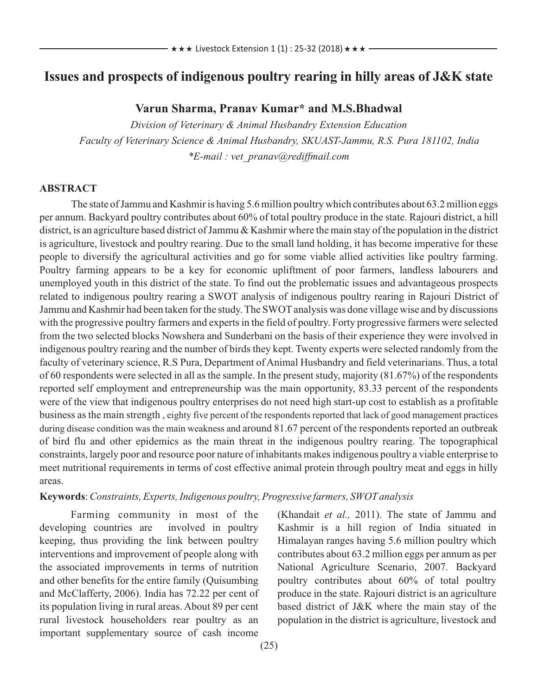# **Issues and prospects of indigenous poultry rearing in hilly areas of J&K state**

### **Varun Sharma, Pranav Kumar\* and M.S.Bhadwal**

*Division of Veterinary & Animal Husbandry Extension Education Faculty of Veterinary Science & Animal Husbandry, SKUAST-Jammu, R.S. Pura 181102, India \*E-mail : vet\_pranav@rediffmail.com*

#### **ABSTRACT**

The state of Jammu and Kashmir is having 5.6 million poultry which contributes about 63.2 million eggs per annum. Backyard poultry contributes about 60% of total poultry produce in the state. Rajouri district, a hill district, is an agriculture based district of Jammu & Kashmir where the main stay of the population in the district is agriculture, livestock and poultry rearing. Due to the small land holding, it has become imperative for these people to diversify the agricultural activities and go for some viable allied activities like poultry farming. Poultry farming appears to be a key for economic upliftment of poor farmers, landless labourers and unemployed youth in this district of the state. To find out the problematic issues and advantageous prospects related to indigenous poultry rearing a SWOT analysis of indigenous poultry rearing in Rajouri District of Jammu and Kashmir had been taken for the study. The SWOT analysis was done village wise and by discussions with the progressive poultry farmers and experts in the field of poultry. Forty progressive farmers were selected from the two selected blocks Nowshera and Sunderbani on the basis of their experience they were involved in indigenous poultry rearing and the number of birds they kept. Twenty experts were selected randomly from the faculty of veterinary science, R.S Pura, Department of Animal Husbandry and field veterinarians. Thus, a total of 60 respondents were selected in all as the sample. In the present study, majority (81.67%) of the respondents reported self employment and entrepreneurship was the main opportunity, 83.33 percent of the respondents were of the view that indigenous poultry enterprises do not need high start-up cost to establish as a profitable business as the main strength , eighty five percent of the respondents reported that lack of good management practices during disease condition was the main weakness and around 81.67 percent of the respondents reported an outbreak of bird flu and other epidemics as the main threat in the indigenous poultry rearing. The topographical constraints, largely poor and resource poor nature of inhabitants makes indigenous poultry a viable enterprise to meet nutritional requirements in terms of cost effective animal protein through poultry meat and eggs in hilly areas.

#### **Keywords**: *Constraints, Experts, Indigenous poultry, Progressive farmers, SWOTanalysis*

Farming community in most of the developing countries are involved in poultry keeping, thus providing the link between poultry interventions and improvement of people along with the associated improvements in terms of nutrition and other benefits for the entire family (Quisumbing and McClafferty, 2006). India has 72.22 per cent of its population living in rural areas. About 89 per cent rural livestock householders rear poultry as an important supplementary source of cash income

(Khandait *et al.,* 2011). The state of Jammu and Kashmir is a hill region of India situated in Himalayan ranges having 5.6 million poultry which contributes about 63.2 million eggs per annum as per National Agriculture Scenario, 2007. Backyard poultry contributes about 60% of total poultry produce in the state. Rajouri district is an agriculture based district of J&K where the main stay of the population in the district is agriculture, livestock and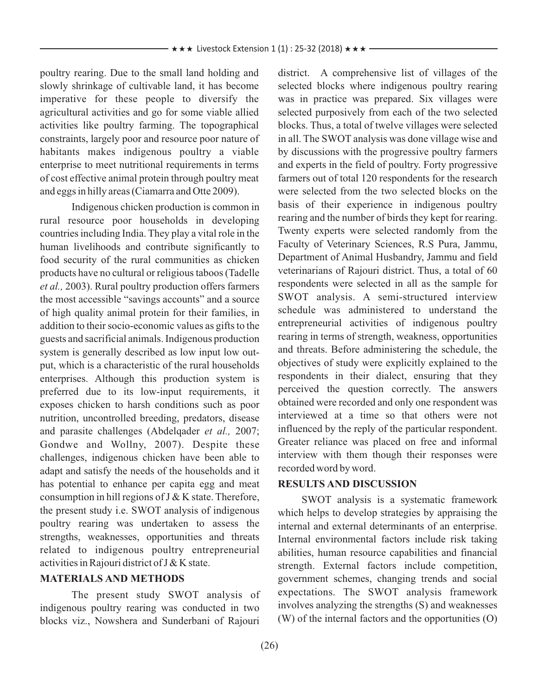poultry rearing. Due to the small land holding and slowly shrinkage of cultivable land, it has become imperative for these people to diversify the agricultural activities and go for some viable allied activities like poultry farming. The topographical constraints, largely poor and resource poor nature of habitants makes indigenous poultry a viable enterprise to meet nutritional requirements in terms of cost effective animal protein through poultry meat and eggs in hilly areas (Ciamarra and Otte 2009).

Indigenous chicken production is common in rural resource poor households in developing countries including India. They play a vital role in the human livelihoods and contribute significantly to food security of the rural communities as chicken products have no cultural or religious taboos (Tadelle *et al.,* 2003). Rural poultry production offers farmers the most accessible "savings accounts" and a source of high quality animal protein for their families, in addition to their socio-economic values as gifts to the guests and sacrificial animals. Indigenous production system is generally described as low input low output, which is a characteristic of the rural households enterprises. Although this production system is preferred due to its low-input requirements, it exposes chicken to harsh conditions such as poor nutrition, uncontrolled breeding, predators, disease and parasite challenges (Abdelqader *et al.,* 2007; Gondwe and Wollny, 2007). Despite these challenges, indigenous chicken have been able to adapt and satisfy the needs of the households and it has potential to enhance per capita egg and meat consumption in hill regions of  $J & K$  state. Therefore, the present study i.e. SWOT analysis of indigenous poultry rearing was undertaken to assess the strengths, weaknesses, opportunities and threats related to indigenous poultry entrepreneurial activities in Rajouri district of J & K state.

#### **MATERIALS AND METHODS**

The present study SWOT analysis of indigenous poultry rearing was conducted in two blocks viz., Nowshera and Sunderbani of Rajouri district. A comprehensive list of villages of the selected blocks where indigenous poultry rearing was in practice was prepared. Six villages were selected purposively from each of the two selected blocks. Thus, a total of twelve villages were selected in all. The SWOT analysis was done village wise and by discussions with the progressive poultry farmers and experts in the field of poultry. Forty progressive farmers out of total 120 respondents for the research were selected from the two selected blocks on the basis of their experience in indigenous poultry rearing and the number of birds they kept for rearing. Twenty experts were selected randomly from the Faculty of Veterinary Sciences, R.S Pura, Jammu, Department of Animal Husbandry, Jammu and field veterinarians of Rajouri district. Thus, a total of 60 respondents were selected in all as the sample for SWOT analysis. A semi-structured interview schedule was administered to understand the entrepreneurial activities of indigenous poultry rearing in terms of strength, weakness, opportunities and threats. Before administering the schedule, the objectives of study were explicitly explained to the respondents in their dialect, ensuring that they perceived the question correctly. The answers obtained were recorded and only one respondent was interviewed at a time so that others were not influenced by the reply of the particular respondent. Greater reliance was placed on free and informal interview with them though their responses were recorded word by word.

#### **RESULTS AND DISCUSSION**

SWOT analysis is a systematic framework which helps to develop strategies by appraising the internal and external determinants of an enterprise. Internal environmental factors include risk taking abilities, human resource capabilities and financial strength. External factors include competition, government schemes, changing trends and social expectations. The SWOT analysis framework involves analyzing the strengths (S) and weaknesses (W) of the internal factors and the opportunities (O)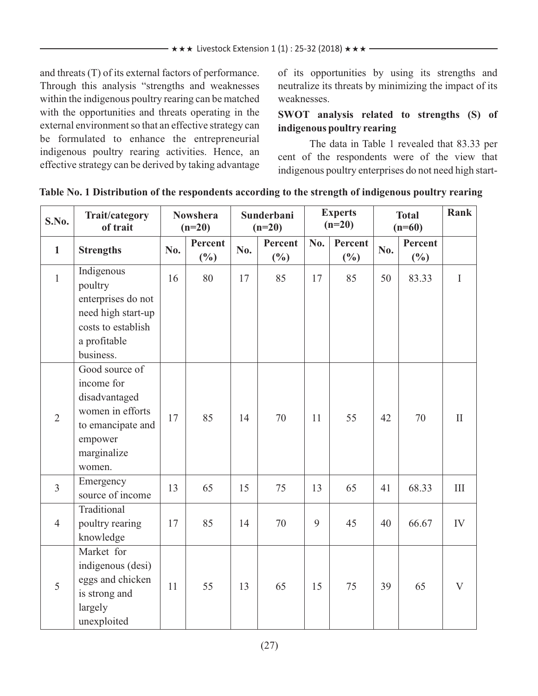and threats (T) of its external factors of performance. Through this analysis "strengths and weaknesses within the indigenous poultry rearing can be matched with the opportunities and threats operating in the external environment so that an effective strategy can be formulated to enhance the entrepreneurial indigenous poultry rearing activities. Hence, an effective strategy can be derived by taking advantage of its opportunities by using its strengths and neutralize its threats by minimizing the impact of its weaknesses.

# **SWOT analysis related to strengths (S) of indigenous poultry rearing**

The data in Table 1 revealed that 83.33 per cent of the respondents were of the view that indigenous poultry enterprises do not need high start-

| S.No.          | Trait/category<br>of trait                                                                                                 | <b>Nowshera</b><br>$(n=20)$ |                   | Sunderbani<br>$(n=20)$ |                   | <b>Experts</b><br>$(n=20)$ |                   | <b>Total</b><br>$(n=60)$ |                   | Rank           |
|----------------|----------------------------------------------------------------------------------------------------------------------------|-----------------------------|-------------------|------------------------|-------------------|----------------------------|-------------------|--------------------------|-------------------|----------------|
| $\mathbf{1}$   | <b>Strengths</b>                                                                                                           | No.                         | Percent<br>$(\%)$ | No.                    | Percent<br>$(\%)$ | No.                        | Percent<br>$(\%)$ | No.                      | Percent<br>$(\%)$ |                |
| $\mathbf{1}$   | Indigenous<br>poultry<br>enterprises do not<br>need high start-up<br>costs to establish<br>a profitable<br>business.       | 16                          | 80                | 17                     | 85                | 17                         | 85                | 50                       | 83.33             | $\mathbf I$    |
| $\overline{2}$ | Good source of<br>income for<br>disadvantaged<br>women in efforts<br>to emancipate and<br>empower<br>marginalize<br>women. | 17                          | 85                | 14                     | 70                | 11                         | 55                | 42                       | 70                | $\mathbf{I}$   |
| $\overline{3}$ | Emergency<br>source of income                                                                                              | 13                          | 65                | 15                     | 75                | 13                         | 65                | 41                       | 68.33             | III            |
| $\overline{4}$ | Traditional<br>poultry rearing<br>knowledge                                                                                | 17                          | 85                | 14                     | 70                | 9                          | 45                | 40                       | 66.67             | IV             |
| 5              | Market for<br>indigenous (desi)<br>eggs and chicken<br>is strong and<br>largely<br>unexploited                             | 11                          | 55                | 13                     | 65                | 15                         | 75                | 39                       | 65                | $\overline{V}$ |

# **Table No. 1 Distribution of the respondents according to the strength of indigenous poultry rearing**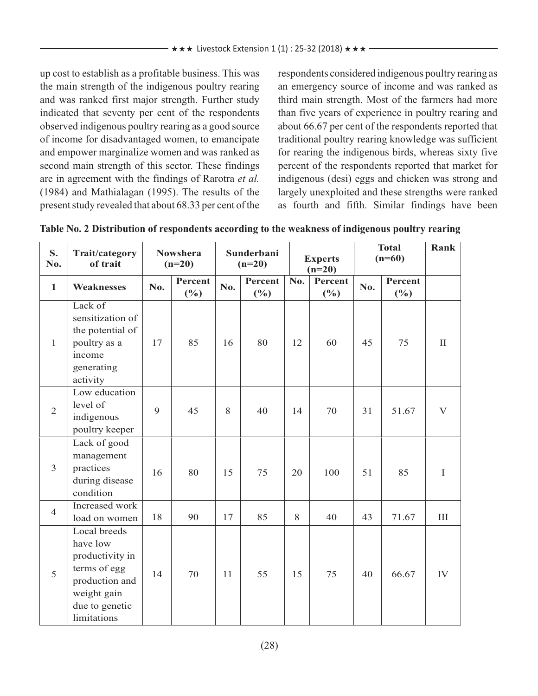up cost to establish as a profitable business. This was the main strength of the indigenous poultry rearing and was ranked first major strength. Further study indicated that seventy per cent of the respondents observed indigenous poultry rearing as a good source of income for disadvantaged women, to emancipate and empower marginalize women and was ranked as second main strength of this sector. These findings are in agreement with the findings of Rarotra *et al.* (1984) and Mathialagan (1995). The results of the present study revealed that about 68.33 per cent of the respondents considered indigenous poultry rearing as an emergency source of income and was ranked as third main strength. Most of the farmers had more than five years of experience in poultry rearing and about 66.67 per cent of the respondents reported that traditional poultry rearing knowledge was sufficient for rearing the indigenous birds, whereas sixty five percent of the respondents reported that market for indigenous (desi) eggs and chicken was strong and largely unexploited and these strengths were ranked as fourth and fifth. Similar findings have been

| S.<br>No.      | Trait/category<br>of trait                                                                                                    |     | <b>Nowshera</b><br>$(n=20)$ |     | Sunderbani<br>$(n=20)$ |     | <b>Experts</b><br>$(n=20)$ |     | <b>Total</b><br>$(n=60)$ |              |
|----------------|-------------------------------------------------------------------------------------------------------------------------------|-----|-----------------------------|-----|------------------------|-----|----------------------------|-----|--------------------------|--------------|
| $\mathbf{1}$   | <b>Weaknesses</b>                                                                                                             | No. | Percent<br>$(\%)$           | No. | Percent<br>$(\%)$      | No. | Percent<br>$(\%)$          | No. | Percent<br>(%)           |              |
| $\mathbf{1}$   | Lack of<br>sensitization of<br>the potential of<br>poultry as a<br>income<br>generating<br>activity                           | 17  | 85                          | 16  | 80                     | 12  | 60                         | 45  | 75                       | $\mathbf{I}$ |
| $\overline{2}$ | Low education<br>level of<br>indigenous<br>poultry keeper                                                                     | 9   | 45                          | 8   | 40                     | 14  | 70                         | 31  | 51.67                    | V            |
| $\mathfrak{Z}$ | Lack of good<br>management<br>practices<br>during disease<br>condition                                                        | 16  | 80                          | 15  | 75                     | 20  | 100                        | 51  | 85                       | $\mathbf I$  |
| $\overline{4}$ | Increased work<br>load on women                                                                                               | 18  | 90                          | 17  | 85                     | 8   | 40                         | 43  | 71.67                    | III          |
| 5              | Local breeds<br>have low<br>productivity in<br>terms of egg<br>production and<br>weight gain<br>due to genetic<br>limitations | 14  | 70                          | 11  | 55                     | 15  | 75                         | 40  | 66.67                    | IV           |

| Table No. 2 Distribution of respondents according to the weakness of indigenous poultry rearing |
|-------------------------------------------------------------------------------------------------|
|-------------------------------------------------------------------------------------------------|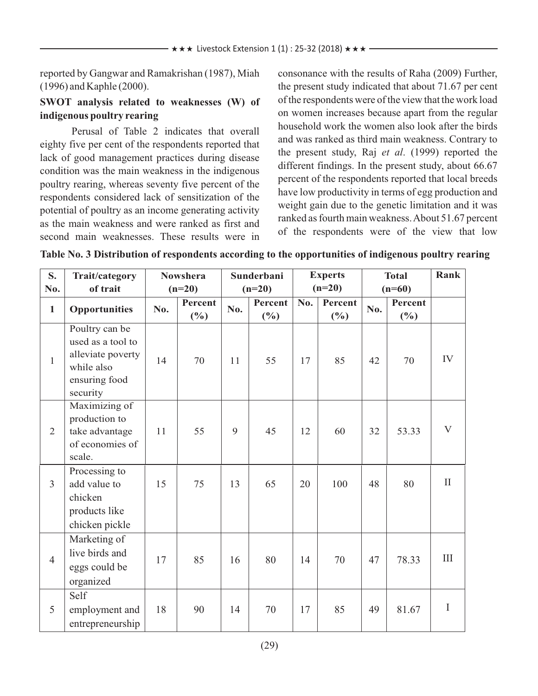reported by Gangwar and Ramakrishan (1987), Miah (1996) and Kaphle (2000).

### **SWOT analysis related to weaknesses (W) of indigenous poultry rearing**

Perusal of Table 2 indicates that overall eighty five per cent of the respondents reported that lack of good management practices during disease condition was the main weakness in the indigenous poultry rearing, whereas seventy five percent of the respondents considered lack of sensitization of the potential of poultry as an income generating activity as the main weakness and were ranked as first and second main weaknesses. These results were in consonance with the results of Raha (2009) Further, the present study indicated that about 71.67 per cent of the respondents were of the view that the work load on women increases because apart from the regular household work the women also look after the birds and was ranked as third main weakness. Contrary to the present study, Raj *et al*. (1999) reported the different findings. In the present study, about 66.67 percent of the respondents reported that local breeds have low productivity in terms of egg production and weight gain due to the genetic limitation and it was ranked as fourth main weakness. About 51.67 percent of the respondents were of the view that low

| S.<br>No.      | Trait/category<br>of trait                                                                          | <b>Nowshera</b><br>$(n=20)$ |                | Sunderbani<br>$(n=20)$ |         | <b>Experts</b><br>$(n=20)$ |         | <b>Total</b><br>$(n=60)$ |         | Rank         |
|----------------|-----------------------------------------------------------------------------------------------------|-----------------------------|----------------|------------------------|---------|----------------------------|---------|--------------------------|---------|--------------|
|                |                                                                                                     |                             | <b>Percent</b> |                        | Percent | No.                        | Percent |                          | Percent |              |
| $\mathbf{1}$   | <b>Opportunities</b>                                                                                | No.                         | $(\%)$         | No.                    | $(\%)$  |                            | $(\%)$  | No.                      | $(\%)$  |              |
| $\mathbf{1}$   | Poultry can be<br>used as a tool to<br>alleviate poverty<br>while also<br>ensuring food<br>security | 14                          | 70             | 11                     | 55      | 17                         | 85      | 42                       | 70      | IV           |
| $\overline{2}$ | Maximizing of<br>production to<br>take advantage<br>of economies of<br>scale.                       | 11                          | 55             | 9                      | 45      | 12                         | 60      | 32                       | 53.33   | $\mathbf{V}$ |
| $\overline{3}$ | Processing to<br>add value to<br>chicken<br>products like<br>chicken pickle                         | 15                          | 75             | 13                     | 65      | 20                         | 100     | 48                       | 80      | $\mathbf{I}$ |
| $\overline{4}$ | Marketing of<br>live birds and<br>eggs could be<br>organized                                        | 17                          | 85             | 16                     | 80      | 14                         | 70      | 47                       | 78.33   | III          |
| 5              | Self<br>employment and<br>entrepreneurship                                                          | 18                          | 90             | 14                     | 70      | 17                         | 85      | 49                       | 81.67   | $\mathbf I$  |

**Table No. 3 Distribution of respondents according to the opportunities of indigenous poultry rearing**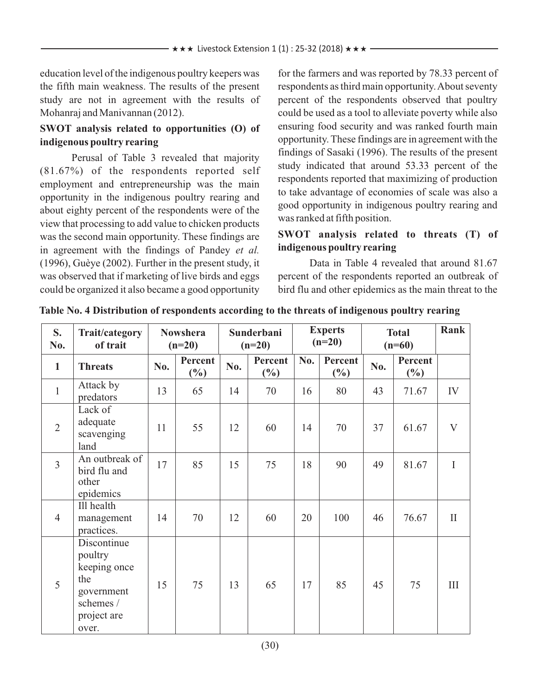education level of the indigenous poultry keepers was the fifth main weakness. The results of the present study are not in agreement with the results of Mohanraj and Manivannan (2012).

### **SWOT analysis related to opportunities (O) of indigenous poultry rearing**

Perusal of Table 3 revealed that majority (81.67%) of the respondents reported self employment and entrepreneurship was the main opportunity in the indigenous poultry rearing and about eighty percent of the respondents were of the view that processing to add value to chicken products was the second main opportunity. These findings are in agreement with the findings of Pandey *et al.* (1996), Guèye (2002). Further in the present study, it was observed that if marketing of live birds and eggs could be organized it also became a good opportunity for the farmers and was reported by 78.33 percent of respondents as third main opportunity. About seventy percent of the respondents observed that poultry could be used as a tool to alleviate poverty while also ensuring food security and was ranked fourth main opportunity. These findings are in agreement with the findings of Sasaki (1996). The results of the present study indicated that around 53.33 percent of the respondents reported that maximizing of production to take advantage of economies of scale was also a good opportunity in indigenous poultry rearing and was ranked at fifth position.

### **SWOT analysis related to threats (T) of indigenous poultry rearing**

Data in Table 4 revealed that around 81.67 percent of the respondents reported an outbreak of bird flu and other epidemics as the main threat to the

| S.<br>No.      | Trait/category<br>of trait                                                                       | <b>Nowshera</b><br>$(n=20)$ |                   | Sunderbani<br>$(n=20)$ |                   | <b>Experts</b><br>$(n=20)$ |                   | <b>Total</b><br>$(n=60)$ |                   | Rank         |
|----------------|--------------------------------------------------------------------------------------------------|-----------------------------|-------------------|------------------------|-------------------|----------------------------|-------------------|--------------------------|-------------------|--------------|
| $\mathbf{1}$   | <b>Threats</b>                                                                                   | No.                         | Percent<br>$(\%)$ | No.                    | Percent<br>$(\%)$ | No.                        | Percent<br>$(\%)$ | No.                      | Percent<br>$(\%)$ |              |
| $\mathbf{1}$   | Attack by<br>predators                                                                           | 13                          | 65                | 14                     | 70                | 16                         | 80                | 43                       | 71.67             | IV           |
| $\overline{2}$ | Lack of<br>adequate<br>scavenging<br>land                                                        | 11                          | 55                | 12                     | 60                | 14                         | 70                | 37                       | 61.67             | $\mathbf{V}$ |
| $\overline{3}$ | An outbreak of<br>bird flu and<br>other<br>epidemics                                             | 17                          | 85                | 15                     | 75                | 18                         | 90                | 49                       | 81.67             | I            |
| $\overline{4}$ | Ill health<br>management<br>practices.                                                           | 14                          | 70                | 12                     | 60                | 20                         | 100               | 46                       | 76.67             | $\mathbf{I}$ |
| 5              | Discontinue<br>poultry<br>keeping once<br>the<br>government<br>schemes /<br>project are<br>over. | 15                          | 75                | 13                     | 65                | 17                         | 85                | 45                       | 75                | III          |

**Table No. 4 Distribution of respondents according to the threats of indigenous poultry rearing**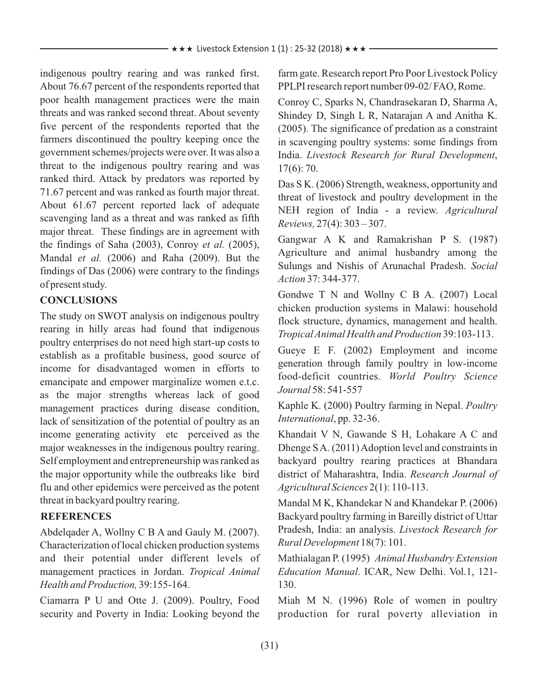indigenous poultry rearing and was ranked first. About 76.67 percent of the respondents reported that poor health management practices were the main threats and was ranked second threat. About seventy five percent of the respondents reported that the farmers discontinued the poultry keeping once the government schemes/projects were over. It was also a threat to the indigenous poultry rearing and was ranked third. Attack by predators was reported by 71.67 percent and was ranked as fourth major threat. About 61.67 percent reported lack of adequate scavenging land as a threat and was ranked as fifth major threat. These findings are in agreement with the findings of Saha (2003), Conroy *et al.* (2005), Mandal *et al.* (2006) and Raha (2009). But the findings of Das (2006) were contrary to the findings of present study.

# **CONCLUSIONS**

The study on SWOT analysis on indigenous poultry rearing in hilly areas had found that indigenous poultry enterprises do not need high start-up costs to establish as a profitable business, good source of income for disadvantaged women in efforts to emancipate and empower marginalize women e.t.c. as the major strengths whereas lack of good management practices during disease condition, lack of sensitization of the potential of poultry as an income generating activity etc perceived as the major weaknesses in the indigenous poultry rearing. Self employment and entrepreneurship was ranked as the major opportunity while the outbreaks like bird flu and other epidemics were perceived as the potent threat in backyard poultry rearing.

# **REFERENCES**

Abdelqader A, Wollny C B A and Gauly M. (2007). Characterization of local chicken production systems and their potential under different levels of management practices in Jordan. *Tropical Animal Health andProduction,* 39:155-164.

Ciamarra P U and Otte J. (2009). Poultry, Food security and Poverty in India: Looking beyond the farm gate. Research report Pro Poor Livestock Policy PPLPI research report number 09-02/ FAO, Rome.

Conroy C, Sparks N, Chandrasekaran D, Sharma A, Shindey D, Singh L R, Natarajan A and Anitha K. (2005). The significance of predation as a constraint in scavenging poultry systems: some findings from India. *Livestock Research for Rural Development*, 17(6): 70.

Das S K. (2006) Strength, weakness, opportunity and threat of livestock and poultry development in the NEH region of India - a review. *Agricultural Reviews,* 27(4): 303 – 307.

Gangwar A K and Ramakrishan P S. (1987) Agriculture and animal husbandry among the Sulungs and Nishis of Arunachal Pradesh. *Social Action* 37: 344-377.

Gondwe T N and Wollny C B A. (2007) Local chicken production systems in Malawi: household flock structure, dynamics, management and health. *Tropical Animal Health and Production* 39:103-113.

Gueye E F. (2002) Employment and income generation through family poultry in low-income food-deficit countries. *World Poultry Science Journal* 58: 541-557

Kaphle K. (2000) Poultry farming in Nepal. *Poultry International*, pp. 32-36.

Khandait V N, Gawande S H, Lohakare A C and Dhenge S A. (2011) Adoption level and constraints in backyard poultry rearing practices at Bhandara district of Maharashtra, India. *Research Journal of Agricultural Sciences* 2(1): 110-113.

Mandal M K, Khandekar N and Khandekar P. (2006) Backyard poultry farming in Bareilly district of Uttar Pradesh, India: an analysis. *Livestock Research for Rural Development* 18(7): 101.

Mathialagan P. (1995) *Animal Husbandry Extension Education Manual*. ICAR, New Delhi. Vol.1, 121- 130.

Miah M N. (1996) Role of women in poultry production for rural poverty alleviation in